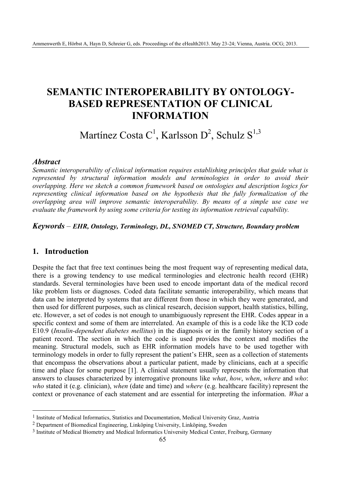# **SEMANTIC INTEROPERABILITY BY ONTOLOGY-BASED REPRESENTATION OF CLINICAL INFORMATION**

# Martínez Costa C<sup>1</sup>, Karlsson D<sup>2</sup>, Schulz S<sup>1,3</sup>

#### *Abstract*

*Semantic interoperability of clinical information requires establishing principles that guide what is represented by structural information models and terminologies in order to avoid their overlapping. Here we sketch a common framework based on ontologies and description logics for representing clinical information based on the hypothesis that the fully formalization of the overlapping area will improve semantic interoperability. By means of a simple use case we evaluate the framework by using some criteria for testing its information retrieval capability.* 

## *Keywords* – *EHR, Ontology, Terminology, DL, SNOMED CT, Structure, Boundary problem*

## **1. Introduction**

 $\overline{a}$ 

Despite the fact that free text continues being the most frequent way of representing medical data, there is a growing tendency to use medical terminologies and electronic health record (EHR) standards. Several terminologies have been used to encode important data of the medical record like problem lists or diagnoses. Coded data facilitate semantic interoperability, which means that data can be interpreted by systems that are different from those in which they were generated, and then used for different purposes, such as clinical research, decision support, health statistics, billing, etc. However, a set of codes is not enough to unambiguously represent the EHR. Codes appear in a specific context and some of them are interrelated. An example of this is a code like the ICD code E10.9 (*Insulin-dependent diabetes mellitus*) in the diagnosis or in the family history section of a patient record. The section in which the code is used provides the context and modifies the meaning. Structural models, such as EHR information models have to be used together with terminology models in order to fully represent the patient's EHR, seen as a collection of statements that encompass the observations about a particular patient, made by clinicians, each at a specific time and place for some purpose [1]. A clinical statement usually represents the information that answers to clauses characterized by interrogative pronouns like *what*, *how*, *when*, *where* and *who*: *who* stated it (e.g. clinician), *when* (date and time) and *where* (e.g. healthcare facility) represent the context or provenance of each statement and are essential for interpreting the information. *What* a

<sup>&</sup>lt;sup>1</sup> Institute of Medical Informatics, Statistics and Documentation, Medical University Graz, Austria

<sup>2</sup> Department of Biomedical Engineering, Linköping University, Linköping, Sweden

<sup>3</sup> Institute of Medical Biometry and Medical Informatics University Medical Center, Freiburg, Germany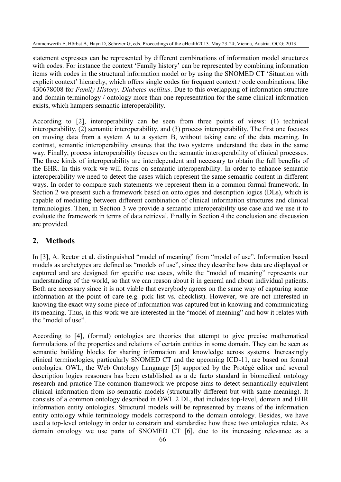statement expresses can be represented by different combinations of information model structures with codes. For instance the context 'Family history' can be represented by combining information items with codes in the structural information model or by using the SNOMED CT 'Situation with explicit context' hierarchy, which offers single codes for frequent context / code combinations, like 430678008 for *Family History: Diabetes mellitus*. Due to this overlapping of information structure and domain terminology / ontology more than one representation for the same clinical information exists, which hampers semantic interoperability.

According to [2], interoperability can be seen from three points of views: (1) technical interoperability, (2) semantic interoperability, and (3) process interoperability. The first one focuses on moving data from a system A to a system B, without taking care of the data meaning. In contrast, semantic interoperability ensures that the two systems understand the data in the same way. Finally, process interoperability focuses on the semantic interoperability of clinical processes. The three kinds of interoperability are interdependent and necessary to obtain the full benefits of the EHR. In this work we will focus on semantic interoperability. In order to enhance semantic interoperability we need to detect the cases which represent the same semantic content in different ways. In order to compare such statements we represent them in a common formal framework. In Section 2 we present such a framework based on ontologies and description logics (DLs), which is capable of mediating between different combination of clinical information structures and clinical terminologies. Then, in Section 3 we provide a semantic interoperability use case and we use it to evaluate the framework in terms of data retrieval. Finally in Section 4 the conclusion and discussion are provided.

# **2. Methods**

In [3], A. Rector et al. distinguished "model of meaning" from "model of use". Information based models as archetypes are defined as "models of use", since they describe how data are displayed or captured and are designed for specific use cases, while the "model of meaning" represents our understanding of the world, so that we can reason about it in general and about individual patients. Both are necessary since it is not viable that everybody agrees on the same way of capturing some information at the point of care (e.g. pick list vs. checklist). However, we are not interested in knowing the exact way some piece of information was captured but in knowing and communicating its meaning. Thus, in this work we are interested in the "model of meaning" and how it relates with the "model of use".

According to [4], (formal) ontologies are theories that attempt to give precise mathematical formulations of the properties and relations of certain entities in some domain. They can be seen as semantic building blocks for sharing information and knowledge across systems. Increasingly clinical terminologies, particularly SNOMED CT and the upcoming ICD-11, are based on formal ontologies. OWL, the Web Ontology Language [5] supported by the Protégé editor and several description logics reasoners has been established as a de facto standard in biomedical ontology research and practice The common framework we propose aims to detect semantically equivalent clinical information from iso-semantic models (structurally different but with same meaning). It consists of a common ontology described in OWL 2 DL, that includes top-level, domain and EHR information entity ontologies. Structural models will be represented by means of the information entity ontology while terminology models correspond to the domain ontology. Besides, we have used a top-level ontology in order to constrain and standardise how these two ontologies relate. As domain ontology we use parts of SNOMED CT [6], due to its increasing relevance as a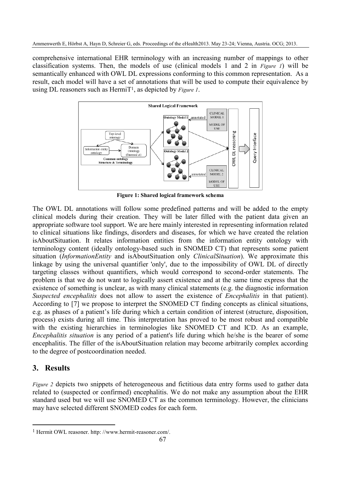comprehensive international EHR terminology with an increasing number of mappings to other classification systems. Then, the models of use (clinical models 1 and 2 in *Figure 1*) will be semantically enhanced with OWL DL expressions conforming to this common representation. As a result, each model will have a set of annotations that will be used to compute their equivalence by using DL reasoners such as HermiT1, as depicted by *Figure 1*.



**Figure 1: Shared logical framework schema**

The OWL DL annotations will follow some predefined patterns and will be added to the empty clinical models during their creation. They will be later filled with the patient data given an appropriate software tool support. We are here mainly interested in representing information related to clinical situations like findings, disorders and diseases, for which we have created the relation isAboutSituation. It relates information entities from the information entity ontology with terminology content (ideally ontology-based such in SNOMED CT) that represents some patient situation (*InformationEntity* and isAboutSituation only *ClinicalSituation*). We approximate this linkage by using the universal quantifier 'only', due to the impossibility of OWL DL of directly targeting classes without quantifiers, which would correspond to second-order statements. The problem is that we do not want to logically assert existence and at the same time express that the existence of something is unclear, as with many clinical statements (e.g. the diagnostic information *Suspected encephalitis* does not allow to assert the existence of *Encephalitis* in that patient). According to [7] we propose to interpret the SNOMED CT finding concepts as clinical situations, e.g. as phases of a patient's life during which a certain condition of interest (structure, disposition, process) exists during all time. This interpretation has proved to be most robust and compatible with the existing hierarchies in terminologies like SNOMED CT and ICD. As an example, *Encephalitis situation* is any period of a patient's life during which he/she is the bearer of some encephalitis. The filler of the isAboutSituation relation may become arbitrarily complex according to the degree of postcoordination needed.

# **3. Results**

 $\overline{a}$ 

*Figure 2* depicts two snippets of heterogeneous and fictitious data entry forms used to gather data related to (suspected or confirmed) encephalitis. We do not make any assumption about the EHR standard used but we will use SNOMED CT as the common terminology. However, the clinicians may have selected different SNOMED codes for each form.

<sup>1</sup> Hermit OWL reasoner. http: //www.hermit-reasoner.com/.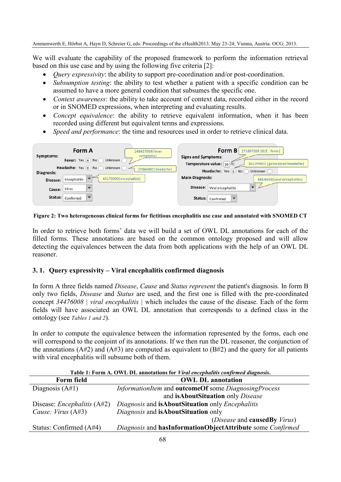We will evaluate the capability of the proposed framework to perform the information retrieval based on this use case and by using the following five criteria [2]:

- *Ouery expressivity*: the ability to support pre-coordination and/or post-coordination.
- *Subsumption testing*: the ability to test whether a patient with a specific condition can be assumed to have a more general condition that subsumes the specific one.
- *Context awareness*: the ability to take account of context data, recorded either in the record or in SNOMED expressions, when interpreting and evaluating results.
- *Concept equivalence*: the ability to retrieve equivalent information, when it has been recorded using different but equivalent terms and expressions.
- *Speed and performance*: the time and resources used in order to retrieve clinical data.

| Form A<br>248427009   fever                                       | Form $B$<br>271897009   O/E - fever                          |
|-------------------------------------------------------------------|--------------------------------------------------------------|
| symptoms<br>Symptoms:                                             | <b>Signs and Symptoms:</b>                                   |
| Fever: Yes   x   No  <br>Unknown                                  | Temperature value: 39 ºC<br>162299003   generalised headache |
| Headache: Yes X No Unknown<br>25064002   headache  <br>Diagnosis: | Headache: Yes X No<br>Unknown                                |
| 45170000   encephalitis  <br>Encephalitis<br>Disease:             | <b>Main Diagnosis:</b><br>34476008 viral encephalitis        |
| Virus<br>Cause:                                                   | Disease:<br>Viral encephalitis                               |
| Status:<br>Confirmed                                              | Status: Confirmed                                            |

**Figure 2: Two heterogeneous clinical forms for fictitious encephalitis use case and annotated with SNOMED CT** 

In order to retrieve both forms' data we will build a set of OWL DL annotations for each of the filled forms. These annotations are based on the common ontology proposed and will allow detecting the equivalences between the data from both applications with the help of an OWL DL reasoner.

## **3. 1. Query expressivity – Viral encephalitis confirmed diagnosis**

In form A three fields named *Disease*, *Cause* and *Status represent* the patient's diagnosis*.* In form B only two fields, *Disease* and *Status* are used, and the first one is filled with the pre-coordinated concept *34476008 | viral encephalitis |* which includes the cause of the disease. Each of the form fields will have associated an OWL DL annotation that corresponds to a defined class in the ontology (see *Tables 1 and 2*).

In order to compute the equivalence between the information represented by the forms, each one will correspond to the conjoint of its annotations. If we then run the DL reasoner, the conjunction of the annotations ( $A#2$ ) and ( $A#3$ ) are computed as equivalent to ( $B#2$ ) and the query for all patients with viral encephalitis will subsume both of them.

| Table 1: Form A. OWL DL annotations for Viral encephalitis confirmed diagnosis. |                                                            |
|---------------------------------------------------------------------------------|------------------------------------------------------------|
| Form field                                                                      | <b>OWL DL annotation</b>                                   |
| Diagnosis $(A#1)$                                                               | InformationItem and outcomeOf some DiagnosingProcess       |
|                                                                                 | and isAboutSituation only Disease                          |
| Disease: <i>Encephalitis</i> $(A#2)$                                            | Diagnosis and isAboutSituation only Encephalitis           |
| Cause: $Virus (A#3)$                                                            | Diagnosis and isAboutSituation only                        |
|                                                                                 | ( <i>Disease</i> and <b>causedBy</b> <i>Virus</i> )        |
| Status: Confirmed $(A#4)$                                                       | Diagnosis and hasInformationObjectAttribute some Confirmed |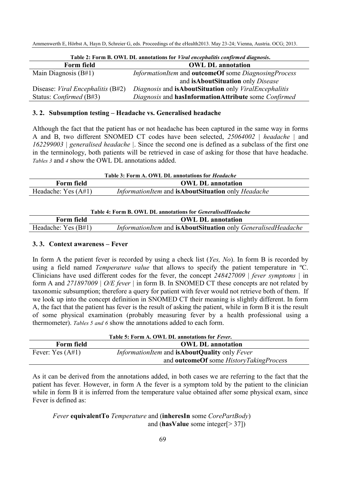| Table 2: Form B. OWL DL annotations for Viral encephalitis confirmed diagnosis. |                                                                     |
|---------------------------------------------------------------------------------|---------------------------------------------------------------------|
| <b>Form field</b>                                                               | <b>OWL DL annotation</b>                                            |
| Main Diagnosis $(B#1)$                                                          | InformationItem and outcomeOf some DiagnosingProcess                |
|                                                                                 | and isAboutSituation only Disease                                   |
| Disease: <i>Viral Encephalitis</i> $(B#2)$                                      | Diagnosis and <b>isAboutSituation</b> only <i>ViralEncephalitis</i> |
| Status: <i>Confirmed</i> (B#3)                                                  | Diagnosis and hasInformationAttribute some Confirmed                |

#### **3. 2. Subsumption testing – Headache vs. Generalised headache**

Although the fact that the patient has or not headache has been captured in the same way in forms A and B, two different SNOMED CT codes have been selected, *25064002 | headache |* and *162299003 | generalised headache |*. Since the second one is defined as a subclass of the first one in the terminology, both patients will be retrieved in case of asking for those that have headache. *Tables 3* and *4* show the OWL DL annotations added.

| Table 3: Form A. OWL DL annotations for <i>Headache</i> |                                                    |  |
|---------------------------------------------------------|----------------------------------------------------|--|
| Form field                                              | <b>OWL DL annotation</b>                           |  |
| Headache: Yes $(A#1)$                                   | InformationItem and isAboutSituation only Headache |  |

| Table 4: Form B. OWL DL annotations for <i>GeneralisedHeadache</i> |                                                               |
|--------------------------------------------------------------------|---------------------------------------------------------------|
| Form field                                                         | <b>OWL DL annotation</b>                                      |
| Headache: Yes $(B#1)$                                              | InformationItem and isAboutSituation only GeneralisedHeadache |

#### **3. 3. Context awareness – Fever**

In form A the patient fever is recorded by using a check list (*Yes, No*). In form B is recorded by using a field named *Temperature value* that allows to specify the patient temperature in ºC. Clinicians have used different codes for the fever, the concept *248427009 | fever symptoms |* in form A and *271897009 | O/E fever |* in form B. In SNOMED CT these concepts are not related by taxonomic subsumption; therefore a query for patient with fever would not retrieve both of them. If we look up into the concept definition in SNOMED CT their meaning is slightly different. In form A, the fact that the patient has fever is the result of asking the patient, while in form B it is the result of some physical examination (probably measuring fever by a health professional using a thermometer). *Tables 5 and 6* show the annotations added to each form.

| Table 5: Form A. OWL DL annotations for Fever. |                                                                    |
|------------------------------------------------|--------------------------------------------------------------------|
| Form field                                     | <b>OWL DL annotation</b>                                           |
| Fever: Yes $(A#1)$                             | <i>InformationItem</i> and <b>isAboutQuality</b> only <i>Fever</i> |
|                                                | and <b>outcomeOf</b> some <i>HistoryTakingProcess</i>              |

As it can be derived from the annotations added, in both cases we are referring to the fact that the patient has fever*.* However, in form A the fever is a symptom told by the patient to the clinician while in form B it is inferred from the temperature value obtained after some physical exam, since Fever is defined as:

*Fever* **equivalentTo** *Temperature* and (**inheresIn** some *CorePartBody*) and (**hasValue** some integer[> 37])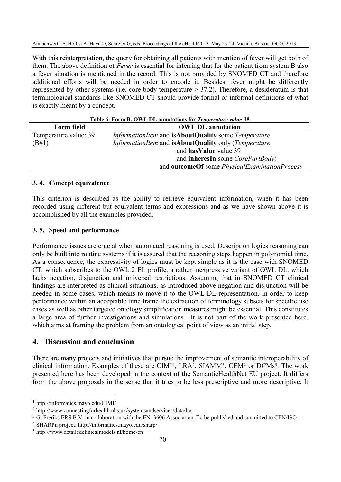With this reinterpretation, the query for obtaining all patients with mention of fever will get both of them. The above definition of *Fever* is essential for inferring that for the patient from system B also a fever situation is mentioned in the record. This is not provided by SNOMED CT and therefore additional efforts will be needed in order to encode it. Besides, fever might be differently represented by other systems (i.e. core body temperature  $> 37.2$ ). Therefore, a desideratum is that terminological standards like SNOMED CT should provide formal or informal definitions of what is exactly meant by a concept.

| Table 6: Form B. OWL DL annotations for Temperature value 39. |                                                                            |
|---------------------------------------------------------------|----------------------------------------------------------------------------|
| Form field                                                    | <b>OWL DL annotation</b>                                                   |
| Temperature value: 39                                         | InformationItem and isAboutQuality some Temperature                        |
| (B#1)                                                         | <i>InformationItem</i> and <b>isAboutQuality</b> only ( <i>Temperature</i> |
|                                                               | and has Value value 39                                                     |
|                                                               | and <b>inheresIn</b> some <i>CorePartBody</i> )                            |
|                                                               | and outcomeOf some PhysicalExaminationProcess                              |

#### **3. 4. Concept equivalence**

This criterion is described as the ability to retrieve equivalent information, when it has been recorded using different but equivalent terms and expressions and as we have shown above it is accomplished by all the examples provided.

### **3. 5. Speed and performance**

Performance issues are crucial when automated reasoning is used. Description logics reasoning can only be built into routine systems if it is assured that the reasoning steps happen in polynomial time. As a consequence, the expressivity of logics must be kept simple as it is the case with SNOMED CT, which subscribes to the OWL 2 EL profile, a rather inexpressive variant of OWL DL, which lacks negation, disjunction and universal restrictions. Assuming that in SNOMED CT clinical findings are interpreted as clinical situations, as introduced above negation and disjunction will be needed in some cases, which means to move it to the OWL DL representation. In order to keep performance within an acceptable time frame the extraction of terminology subsets for specific use cases as well as other targeted ontology simplification measures might be essential. This constitutes a large area of further investigations and simulations. It is not part of the work presented here, which aims at framing the problem from an ontological point of view as an initial step.

## **4. Discussion and conclusion**

There are many projects and initiatives that pursue the improvement of semantic interoperability of clinical information. Examples of these are CIMI<sup>1</sup>, LRA<sup>2</sup>, SIAMM<sup>3</sup>, CEM<sup>4</sup> or DCMs<sup>5</sup>. The work presented here has been developed in the context of the SemanticHealthNet EU project. It differs from the above proposals in the sense that it tries to be less prescriptive and more descriptive. It

 $\overline{a}$ 

<sup>1</sup> http://informatics.mayo.edu/CIMI/

<sup>2</sup> http://www.connectingforhealth.nhs.uk/systemsandservices/data/lra

<sup>&</sup>lt;sup>3</sup> G. Freriks ERS B.V. in collaboration with the EN13606 Association. To be published and sunmitted to CEN/ISO

<sup>4</sup> SHARPn project: http://informatics.mayo.edu/sharp/

<sup>5</sup> http://www.detailedclinicalmodels.nl/home-en